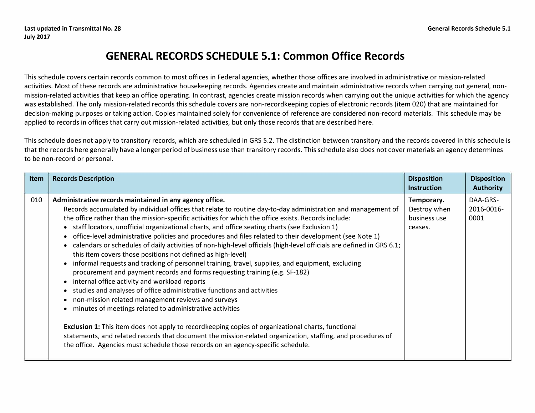## **GENERAL RECORDS SCHEDULE 5.1: Common Office Records**

This schedule covers certain records common to most offices in Federal agencies, whether those offices are involved in administrative or mission-related activities. Most of these records are administrative housekeeping records. Agencies create and maintain administrative records when carrying out general, nonmission-related activities that keep an office operating. In contrast, agencies create mission records when carrying out the unique activities for which the agency was established. The only mission-related records this schedule covers are non-recordkeeping copies of electronic records (item 020) that are maintained for decision-making purposes or taking action. Copies maintained solely for convenience of reference are considered non-record materials. This schedule may be applied to records in offices that carry out mission-related activities, but only those records that are described here.

This schedule does not apply to transitory records, which are scheduled in GRS 5.2. The distinction between transitory and the records covered in this schedule is that the records here generally have a longer period of business use than transitory records. This schedule also does not cover materials an agency determines to be non-record or personal.

| <b>Item</b> | <b>Records Description</b>                                                                                                                                                                                                                                                                                                                                                                                                                                                                                                                                                                                                                                                                                                                                                                                                                                                                                                                                                                                                                                                                                                                                                                                                                                                                                                                                                                                                           | <b>Disposition</b><br><b>Instruction</b>              | <b>Disposition</b><br><b>Authority</b> |
|-------------|--------------------------------------------------------------------------------------------------------------------------------------------------------------------------------------------------------------------------------------------------------------------------------------------------------------------------------------------------------------------------------------------------------------------------------------------------------------------------------------------------------------------------------------------------------------------------------------------------------------------------------------------------------------------------------------------------------------------------------------------------------------------------------------------------------------------------------------------------------------------------------------------------------------------------------------------------------------------------------------------------------------------------------------------------------------------------------------------------------------------------------------------------------------------------------------------------------------------------------------------------------------------------------------------------------------------------------------------------------------------------------------------------------------------------------------|-------------------------------------------------------|----------------------------------------|
| 010         | Administrative records maintained in any agency office.<br>Records accumulated by individual offices that relate to routine day-to-day administration and management of<br>the office rather than the mission-specific activities for which the office exists. Records include:<br>• staff locators, unofficial organizational charts, and office seating charts (see Exclusion 1)<br>office-level administrative policies and procedures and files related to their development (see Note 1)<br>calendars or schedules of daily activities of non-high-level officials (high-level officials are defined in GRS 6.1;<br>this item covers those positions not defined as high-level)<br>informal requests and tracking of personnel training, travel, supplies, and equipment, excluding<br>procurement and payment records and forms requesting training (e.g. SF-182)<br>internal office activity and workload reports<br>studies and analyses of office administrative functions and activities<br>non-mission related management reviews and surveys<br>minutes of meetings related to administrative activities<br><b>Exclusion 1:</b> This item does not apply to recordkeeping copies of organizational charts, functional<br>statements, and related records that document the mission-related organization, staffing, and procedures of<br>the office. Agencies must schedule those records on an agency-specific schedule. | Temporary.<br>Destroy when<br>business use<br>ceases. | DAA-GRS-<br>2016-0016-<br>0001         |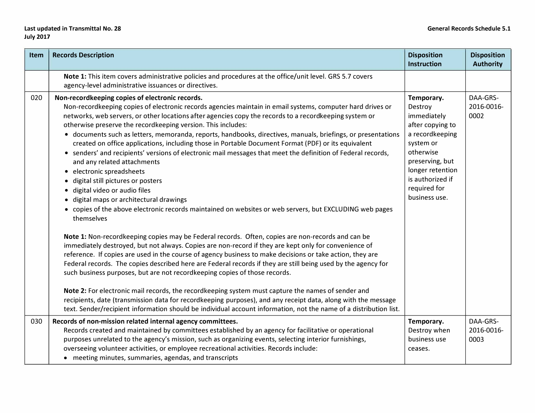## **Last updated in Transmittal No. 28 General Records Schedule 5.1 July 2017**

| Item | <b>Records Description</b>                                                                                                                                                                                                                                                                                                                                                                                                                                                                                                                                                                                                                                                                                                                                                                                                                                                                                                                                                                                                                                                                                                                                                                                                                                                                                                                                                                                                                                                                                                                                                                                                                                                                                                                                                                                                                                                | <b>Disposition</b><br><b>Instruction</b>                                                                                                                                                          | <b>Disposition</b><br><b>Authority</b> |
|------|---------------------------------------------------------------------------------------------------------------------------------------------------------------------------------------------------------------------------------------------------------------------------------------------------------------------------------------------------------------------------------------------------------------------------------------------------------------------------------------------------------------------------------------------------------------------------------------------------------------------------------------------------------------------------------------------------------------------------------------------------------------------------------------------------------------------------------------------------------------------------------------------------------------------------------------------------------------------------------------------------------------------------------------------------------------------------------------------------------------------------------------------------------------------------------------------------------------------------------------------------------------------------------------------------------------------------------------------------------------------------------------------------------------------------------------------------------------------------------------------------------------------------------------------------------------------------------------------------------------------------------------------------------------------------------------------------------------------------------------------------------------------------------------------------------------------------------------------------------------------------|---------------------------------------------------------------------------------------------------------------------------------------------------------------------------------------------------|----------------------------------------|
|      | Note 1: This item covers administrative policies and procedures at the office/unit level. GRS 5.7 covers<br>agency-level administrative issuances or directives.                                                                                                                                                                                                                                                                                                                                                                                                                                                                                                                                                                                                                                                                                                                                                                                                                                                                                                                                                                                                                                                                                                                                                                                                                                                                                                                                                                                                                                                                                                                                                                                                                                                                                                          |                                                                                                                                                                                                   |                                        |
| 020  | Non-recordkeeping copies of electronic records.<br>Non-recordkeeping copies of electronic records agencies maintain in email systems, computer hard drives or<br>networks, web servers, or other locations after agencies copy the records to a recordkeeping system or<br>otherwise preserve the recordkeeping version. This includes:<br>• documents such as letters, memoranda, reports, handbooks, directives, manuals, briefings, or presentations<br>created on office applications, including those in Portable Document Format (PDF) or its equivalent<br>• senders' and recipients' versions of electronic mail messages that meet the definition of Federal records,<br>and any related attachments<br>• electronic spreadsheets<br>· digital still pictures or posters<br>digital video or audio files<br>$\bullet$<br>· digital maps or architectural drawings<br>• copies of the above electronic records maintained on websites or web servers, but EXCLUDING web pages<br>themselves<br>Note 1: Non-recordkeeping copies may be Federal records. Often, copies are non-records and can be<br>immediately destroyed, but not always. Copies are non-record if they are kept only for convenience of<br>reference. If copies are used in the course of agency business to make decisions or take action, they are<br>Federal records. The copies described here are Federal records if they are still being used by the agency for<br>such business purposes, but are not recordkeeping copies of those records.<br>Note 2: For electronic mail records, the recordkeeping system must capture the names of sender and<br>recipients, date (transmission data for recordkeeping purposes), and any receipt data, along with the message<br>text. Sender/recipient information should be individual account information, not the name of a distribution list. | Temporary.<br>Destroy<br>immediately<br>after copying to<br>a recordkeeping<br>system or<br>otherwise<br>preserving, but<br>longer retention<br>is authorized if<br>required for<br>business use. | DAA-GRS-<br>2016-0016-<br>0002         |
| 030  | Records of non-mission related internal agency committees.<br>Records created and maintained by committees established by an agency for facilitative or operational<br>purposes unrelated to the agency's mission, such as organizing events, selecting interior furnishings,<br>overseeing volunteer activities, or employee recreational activities. Records include:<br>• meeting minutes, summaries, agendas, and transcripts                                                                                                                                                                                                                                                                                                                                                                                                                                                                                                                                                                                                                                                                                                                                                                                                                                                                                                                                                                                                                                                                                                                                                                                                                                                                                                                                                                                                                                         | Temporary.<br>Destroy when<br>business use<br>ceases.                                                                                                                                             | DAA-GRS-<br>2016-0016-<br>0003         |